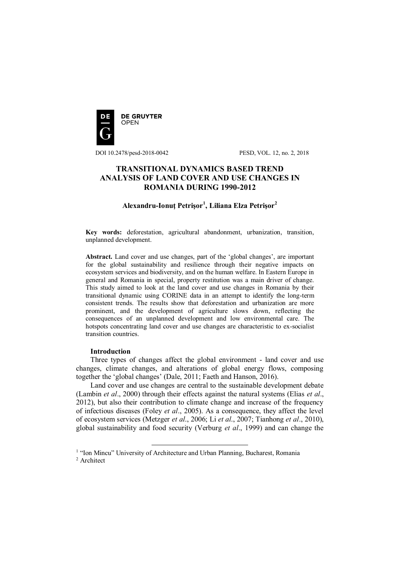

DOI 10.2478/pesd-2018-0042 PESD, VOL. 12, no. 2, 2018

# **TRANSITIONAL DYNAMICS BASED TREND ANALYSIS OF LAND COVER AND USE CHANGES IN ROMANIA DURING 1990-2012**

# **Alexandru-Ionuţ Petrişor<sup>1</sup> , Liliana Elza Petrişor<sup>2</sup>**

**Key words:** deforestation, agricultural abandonment, urbanization, transition, unplanned development.

**Abstract.** Land cover and use changes, part of the 'global changes', are important for the global sustainability and resilience through their negative impacts on ecosystem services and biodiversity, and on the human welfare. In Eastern Europe in general and Romania in special, property restitution was a main driver of change. This study aimed to look at the land cover and use changes in Romania by their transitional dynamic using CORINE data in an attempt to identify the long-term consistent trends. The results show that deforestation and urbanization are more prominent, and the development of agriculture slows down, reflecting the consequences of an unplanned development and low environmental care. The hotspots concentrating land cover and use changes are characteristic to ex-socialist transition countries.

### **Introduction**

Three types of changes affect the global environment - land cover and use changes, climate changes, and alterations of global energy flows, composing together the 'global changes' (Dale, 2011; Faeth and Hanson, 2016).

Land cover and use changes are central to the sustainable development debate (Lambin *et al*., 2000) through their effects against the natural systems (Elias *et al*., 2012), but also their contribution to climate change and increase of the frequency of infectious diseases (Foley *et al*., 2005). As a consequence, they affect the level of ecosystem services (Metzger *et al*., 2006; Li *et al*., 2007; Tianhong *et al*., 2010), global sustainability and food security (Verburg *et al*., 1999) and can change the

<sup>&</sup>lt;sup>1</sup> "Ion Mincu" University of Architecture and Urban Planning, Bucharest, Romania

<sup>&</sup>lt;sup>2</sup> Architect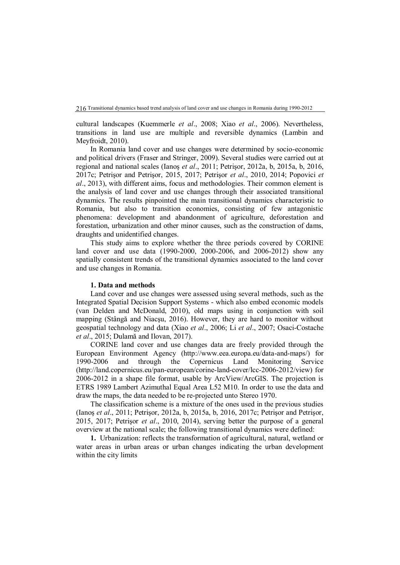cultural landscapes (Kuemmerle *et al*., 2008; Xiao *et al*., 2006). Nevertheless, transitions in land use are multiple and reversible dynamics (Lambin and Meyfroidt, 2010).

In Romania land cover and use changes were determined by socio-economic and political drivers (Fraser and Stringer, 2009). Several studies were carried out at regional and national scales (Ianoş *et al*., 2011; Petrişor, 2012a, b, 2015a, b, 2016, 2017c; Petrişor and Petrişor, 2015, 2017; Petrişor *et al*., 2010, 2014; Popovici *et al*., 2013), with different aims, focus and methodologies. Their common element is the analysis of land cover and use changes through their associated transitional dynamics. The results pinpointed the main transitional dynamics characteristic to Romania, but also to transition economies, consisting of few antagonistic phenomena: development and abandonment of agriculture, deforestation and forestation, urbanization and other minor causes, such as the construction of dams, draughts and unidentified changes.

This study aims to explore whether the three periods covered by CORINE land cover and use data (1990-2000, 2000-2006, and 2006-2012) show any spatially consistent trends of the transitional dynamics associated to the land cover and use changes in Romania.

#### **1. Data and methods**

Land cover and use changes were assessed using several methods, such as the Integrated Spatial Decision Support Systems - which also embed economic models (van Delden and McDonald, 2010), old maps using in conjunction with soil mapping (Stângă and Niacşu, 2016). However, they are hard to monitor without geospatial technology and data (Xiao *et al*., 2006; Li *et al*., 2007; Osaci-Costache *et al*., 2015; Dulamă and Ilovan, 2017).

CORINE land cover and use changes data are freely provided through the European Environment Agency (http://www.eea.europa.eu/data-and-maps/) for 1990-2006 and through the Copernicus Land Monitoring Service (http://land.copernicus.eu/pan-european/corine-land-cover/lcc-2006-2012/view) for 2006-2012 in a shape file format, usable by ArcView/ArcGIS. The projection is ETRS 1989 Lambert Azimuthal Equal Area L52 M10. In order to use the data and draw the maps, the data needed to be re-projected unto Stereo 1970.

The classification scheme is a mixture of the ones used in the previous studies (Ianoş *et al*., 2011; Petrişor, 2012a, b, 2015a, b, 2016, 2017c; Petrişor and Petrişor, 2015, 2017; Petrişor *et al*., 2010, 2014), serving better the purpose of a general overview at the national scale; the following transitional dynamics were defined:

**1.** Urbanization: reflects the transformation of agricultural, natural, wetland or water areas in urban areas or urban changes indicating the urban development within the city limits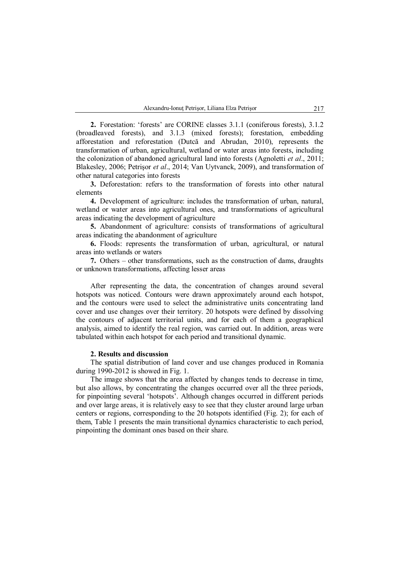**2.** Forestation: 'forests' are CORINE classes 3.1.1 (coniferous forests), 3.1.2 (broadleaved forests), and 3.1.3 (mixed forests); forestation, embedding afforestation and reforestation (Dutcă and Abrudan, 2010), represents the transformation of urban, agricultural, wetland or water areas into forests, including the colonization of abandoned agricultural land into forests (Agnoletti *et al*., 2011; Blakesley, 2006; Petrişor *et al*., 2014; Van Uytvanck, 2009), and transformation of other natural categories into forests

**3.** Deforestation: refers to the transformation of forests into other natural elements

**4.** Development of agriculture: includes the transformation of urban, natural, wetland or water areas into agricultural ones, and transformations of agricultural areas indicating the development of agriculture

**5.** Abandonment of agriculture: consists of transformations of agricultural areas indicating the abandonment of agriculture

**6.** Floods: represents the transformation of urban, agricultural, or natural areas into wetlands or waters

**7.** Others – other transformations, such as the construction of dams, draughts or unknown transformations, affecting lesser areas

After representing the data, the concentration of changes around several hotspots was noticed. Contours were drawn approximately around each hotspot, and the contours were used to select the administrative units concentrating land cover and use changes over their territory. 20 hotspots were defined by dissolving the contours of adjacent territorial units, and for each of them a geographical analysis, aimed to identify the real region, was carried out. In addition, areas were tabulated within each hotspot for each period and transitional dynamic.

#### **2. Results and discussion**

The spatial distribution of land cover and use changes produced in Romania during 1990-2012 is showed in Fig. 1.

The image shows that the area affected by changes tends to decrease in time, but also allows, by concentrating the changes occurred over all the three periods, for pinpointing several 'hotspots'. Although changes occurred in different periods and over large areas, it is relatively easy to see that they cluster around large urban centers or regions, corresponding to the 20 hotspots identified (Fig. 2); for each of them, Table 1 presents the main transitional dynamics characteristic to each period, pinpointing the dominant ones based on their share.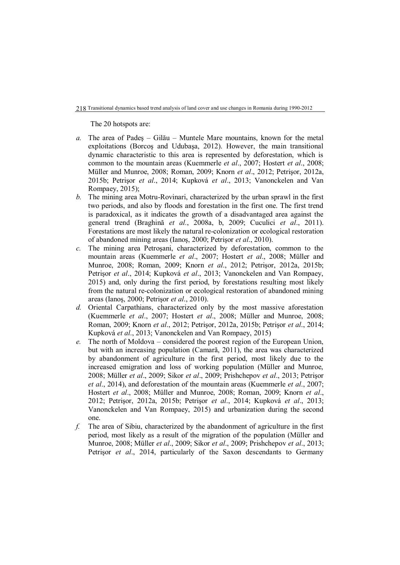The 20 hotspots are:

- *a.* The area of Padeş Gilău Muntele Mare mountains, known for the metal exploitations (Borcoş and Udubaşa, 2012). However, the main transitional dynamic characteristic to this area is represented by deforestation, which is common to the mountain areas (Kuemmerle *et al*., 2007; Hostert *et al*., 2008; Müller and Munroe, 2008; Roman, 2009; Knorn *et al*., 2012; Petrişor, 2012a, 2015b; Petrişor *et al*., 2014; Kupková *et al*., 2013; Vanonckelen and Van Rompaey, 2015);
- *b.* The mining area Motru-Rovinari, characterized by the urban sprawl in the first two periods, and also by floods and forestation in the first one. The first trend is paradoxical, as it indicates the growth of a disadvantaged area against the general trend (Braghină *et al.*, 2008a, b, 2009; Cuculici *et al*., 2011). Forestations are most likely the natural re-colonization or ecological restoration of abandoned mining areas (Ianoş, 2000; Petrişor *et al*., 2010).
- *c.* The mining area Petroşani, characterized by deforestation, common to the mountain areas (Kuemmerle *et al*., 2007; Hostert *et al*., 2008; Müller and Munroe, 2008; Roman, 2009; Knorn *et al*., 2012; Petrişor, 2012a, 2015b; Petrişor *et al*., 2014; Kupková *et al*., 2013; Vanonckelen and Van Rompaey, 2015) and, only during the first period, by forestations resulting most likely from the natural re-colonization or ecological restoration of abandoned mining areas (Ianoş, 2000; Petrişor *et al*., 2010).
- *d.* Oriental Carpathians, characterized only by the most massive aforestation (Kuemmerle *et al*., 2007; Hostert *et al*., 2008; Müller and Munroe, 2008; Roman, 2009; Knorn *et al*., 2012; Petrişor, 2012a, 2015b; Petrişor *et al*., 2014; Kupková *et al*., 2013; Vanonckelen and Van Rompaey, 2015)
- *e.* The north of Moldova considered the poorest region of the European Union, but with an increasing population (Camară, 2011), the area was characterized by abandonment of agriculture in the first period, most likely due to the increased emigration and loss of working population (Müller and Munroe, 2008; Müller *et al*., 2009; Sikor *et al*., 2009; Prishchepov *et al*., 2013; Petrişor *et al*., 2014), and deforestation of the mountain areas (Kuemmerle *et al*., 2007; Hostert *et al*., 2008; Müller and Munroe, 2008; Roman, 2009; Knorn *et al*., 2012; Petrişor, 2012a, 2015b; Petrişor *et al*., 2014; Kupková *et al*., 2013; Vanonckelen and Van Rompaey, 2015) and urbanization during the second one.
- *f.* The area of Sibiu, characterized by the abandonment of agriculture in the first period, most likely as a result of the migration of the population (Müller and Munroe, 2008; Müller *et al*., 2009; Sikor *et al*., 2009; Prishchepov *et al*., 2013; Petrişor *et al*., 2014, particularly of the Saxon descendants to Germany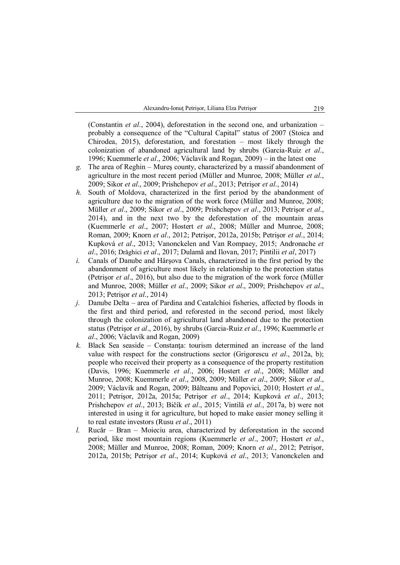(Constantin *et al*., 2004), deforestation in the second one, and urbanization – probably a consequence of the "Cultural Capital" status of 2007 (Stoica and Chirodea, 2015), deforestation, and forestation – most likely through the colonization of abandoned agricultural land by shrubs (Garcia-Ruiz *et al*., 1996; Kuemmerle *et al*., 2006; Václavík and Rogan, 2009) – in the latest one

- *g.* The area of Reghin Mureş county, characterized by a massif abandonment of agriculture in the most recent period (Müller and Munroe, 2008; Müller *et al*., 2009; Sikor *et al*., 2009; Prishchepov *et al*., 2013; Petrişor *et al*., 2014)
- *h.* South of Moldova, characterized in the first period by the abandonment of agriculture due to the migration of the work force (Müller and Munroe, 2008; Müller *et al*., 2009; Sikor *et al*., 2009; Prishchepov *et al*., 2013; Petrişor *et al*., 2014), and in the next two by the deforestation of the mountain areas (Kuemmerle *et al*., 2007; Hostert *et al*., 2008; Müller and Munroe, 2008; Roman, 2009; Knorn *et al*., 2012; Petrişor, 2012a, 2015b; Petrişor *et al*., 2014; Kupková *et al*., 2013; Vanonckelen and Van Rompaey, 2015; Andronache *et al*., 2016; Drăghici *et al*., 2017; Dulamă and Ilovan, 2017; Pintilii *et al*, 2017)
- *i.* Canals of Danube and Hârşova Canals, characterized in the first period by the abandonment of agriculture most likely in relationship to the protection status (Petrişor *et al*., 2016), but also due to the migration of the work force (Müller and Munroe, 2008; Müller *et al*., 2009; Sikor *et al*., 2009; Prishchepov *et al*., 2013; Petrişor *et al*., 2014)
- *j.* Danube Delta area of Pardina and Ceatalchioi fisheries, affected by floods in the first and third period, and reforested in the second period, most likely through the colonization of agricultural land abandoned due to the protection status (Petrişor *et al*., 2016), by shrubs (Garcia-Ruiz *et al*., 1996; Kuemmerle *et al*., 2006; Václavík and Rogan, 2009)
- *k.* Black Sea seaside Constanţa: tourism determined an increase of the land value with respect for the constructions sector (Grigorescu *et al*., 2012a, b); people who received their property as a consequence of the property restitution (Davis, 1996; Kuemmerle *et al*., 2006; Hostert *et al*., 2008; Müller and Munroe, 2008; Kuemmerle *et al*., 2008, 2009; Müller *et al*., 2009; Sikor *et al*., 2009; Václavík and Rogan, 2009; Bălteanu and Popovici, 2010; Hostert *et al*., 2011; Petrişor, 2012a, 2015a; Petrişor *et al*., 2014; Kupková *et al*., 2013; Prishchepov *et al*., 2013; Bičík *et al*., 2015; Vintilă *et al*., 2017a, b) were not interested in using it for agriculture, but hoped to make easier money selling it to real estate investors (Rusu *et al*., 2011)
- *l.* Rucăr Bran Moieciu area, characterized by deforestation in the second period, like most mountain regions (Kuemmerle *et al*., 2007; Hostert *et al*., 2008; Müller and Munroe, 2008; Roman, 2009; Knorn *et al*., 2012; Petrişor, 2012a, 2015b; Petrişor *et al*., 2014; Kupková *et al*., 2013; Vanonckelen and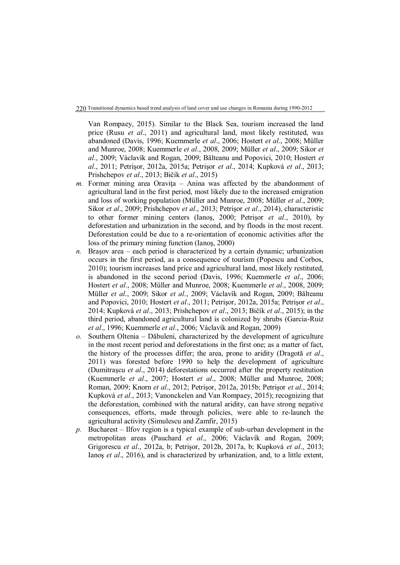Van Rompaey, 2015). Similar to the Black Sea, tourism increased the land price (Rusu *et al*., 2011) and agricultural land, most likely restituted, was abandoned (Davis, 1996; Kuemmerle *et al*., 2006; Hostert *et al*., 2008; Müller and Munroe, 2008; Kuemmerle *et al*., 2008, 2009; Müller *et al*., 2009; Sikor *et al*., 2009; Václavík and Rogan, 2009; Bălteanu and Popovici, 2010; Hostert *et al*., 2011; Petrişor, 2012a, 2015a; Petrişor *et al*., 2014; Kupková *et al*., 2013; Prishchepov *et al*., 2013; Bičík *et al*., 2015)

- *m.* Former mining area Oravita Anina was affected by the abandonment of agricultural land in the first period, most likely due to the increased emigration and loss of working population (Müller and Munroe, 2008; Müller *et al*., 2009; Sikor *et al*., 2009; Prishchepov *et al*., 2013; Petrişor *et al*., 2014), characteristic to other former mining centers (Ianoş, 2000; Petrişor *et al*., 2010), by deforestation and urbanization in the second, and by floods in the most recent. Deforestation could be due to a re-orientation of economic activities after the loss of the primary mining function (Ianoş, 2000)
- *n.* Braşov area each period is characterized by a certain dynamic; urbanization occurs in the first period, as a consequence of tourism (Popescu and Corbos, 2010); tourism increases land price and agricultural land, most likely restituted, is abandoned in the second period (Davis, 1996; Kuemmerle *et al*., 2006; Hostert *et al*., 2008; Müller and Munroe, 2008; Kuemmerle *et al*., 2008, 2009; Müller *et al*., 2009; Sikor *et al*., 2009; Václavík and Rogan, 2009; Bălteanu and Popovici, 2010; Hostert *et al*., 2011; Petrişor, 2012a, 2015a; Petrişor *et al*., 2014; Kupková *et al*., 2013; Prishchepov *et al*., 2013; Bičík *et al*., 2015); in the third period, abandoned agricultural land is colonized by shrubs (Garcia-Ruiz *et al*., 1996; Kuemmerle *et al*., 2006; Václavík and Rogan, 2009)
- *o.* Southern Oltenia Dăbuleni, characterized by the development of agriculture in the most recent period and deforestations in the first one; as a matter of fact, the history of the processes differ; the area, prone to aridity (Dragotă *et al*., 2011) was forested before 1990 to help the development of agriculture (Dumitraşcu *et al*., 2014) deforestations occurred after the property restitution (Kuemmerle *et al*., 2007; Hostert *et al*., 2008; Müller and Munroe, 2008; Roman, 2009; Knorn *et al*., 2012; Petrişor, 2012a, 2015b; Petrişor *et al*., 2014; Kupková *et al*., 2013; Vanonckelen and Van Rompaey, 2015); recognizing that the deforestation, combined with the natural aridity, can have strong negative consequences, efforts, made through policies, were able to re-launch the agricultural activity (Simulescu and Zamfir, 2015)
- *p.* Bucharest Ilfov region is a typical example of sub-urban development in the metropolitan areas (Pauchard *et al*., 2006; Václavík and Rogan, 2009; Grigorescu *et al*., 2012a, b; Petrişor, 2012b, 2017a, b; Kupková *et al*., 2013; Ianoş *et al*., 2016), and is characterized by urbanization, and, to a little extent,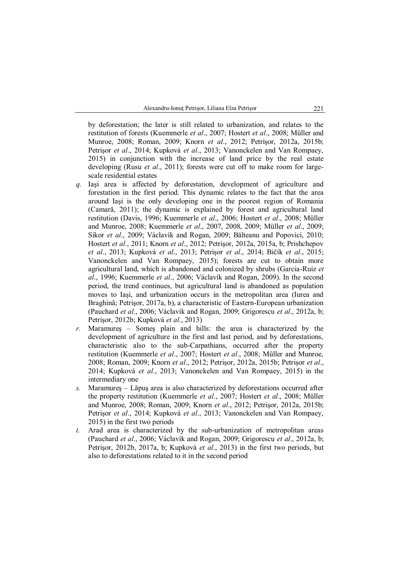by deforestation; the later is still related to urbanization, and relates to the restitution of forests (Kuemmerle *et al*., 2007; Hostert *et al*., 2008; Müller and Munroe, 2008; Roman, 2009; Knorn *et al*., 2012; Petrişor, 2012a, 2015b; Petrişor *et al*., 2014; Kupková *et al*., 2013; Vanonckelen and Van Rompaey, 2015) in conjunction with the increase of land price by the real estate developing (Rusu *et al*., 2011); forests were cut off to make room for largescale residential estates

- *q.* Iaşi area is affected by deforestation, development of agriculture and forestation in the first period. This dynamic relates to the fact that the area around Iaşi is the only developing one in the poorest region of Romania (Camară, 2011); the dynamic is explained by forest and agricultural land restitution (Davis, 1996; Kuemmerle *et al*., 2006; Hostert *et al*., 2008; Müller and Munroe, 2008; Kuemmerle *et al*., 2007, 2008, 2009; Müller *et al*., 2009; Sikor *et al*., 2009; Václavík and Rogan, 2009; Bălteanu and Popovici, 2010; Hostert *et al*., 2011; Knorn *et al*., 2012; Petrişor, 2012a, 2015a, b; Prishchepov *et al*., 2013; Kupková *et al*., 2013; Petrişor *et al*., 2014; Bičík *et al*., 2015; Vanonckelen and Van Rompaey, 2015); forests are cut to obtain more agricultural land, which is abandoned and colonized by shrubs (Garcia-Ruiz *et al*., 1996; Kuemmerle *et al*., 2006; Václavík and Rogan, 2009). In the second period, the trend continues, but agricultural land is abandoned as population moves to Iaşi, and urbanization occurs in the metropolitan area (Iurea and Braghină; Petrişor, 2017a, b), a characteristic of Eastern-European urbanization (Pauchard *et al*., 2006; Václavík and Rogan, 2009; Grigorescu *et al*., 2012a, b; Petrişor, 2012b; Kupková *et al*., 2013)
- *r.* Maramureş Someş plain and hills: the area is characterized by the development of agriculture in the first and last period, and by deforestations, characteristic also to the sub-Carpathians, occurred after the property restitution (Kuemmerle *et al*., 2007; Hostert *et al*., 2008; Müller and Munroe, 2008; Roman, 2009; Knorn *et al*., 2012; Petrişor, 2012a, 2015b; Petrişor *et al*., 2014; Kupková *et al*., 2013; Vanonckelen and Van Rompaey, 2015) in the intermediary one
- *s.* Maramureş Lăpuş area is also characterized by deforestations occurred after the property restitution (Kuemmerle *et al*., 2007; Hostert *et al*., 2008; Müller and Munroe, 2008; Roman, 2009; Knorn *et al*., 2012; Petrişor, 2012a, 2015b; Petrişor *et al*., 2014; Kupková *et al*., 2013; Vanonckelen and Van Rompaey, 2015) in the first two periods
- *t.* Arad area is characterized by the sub-urbanization of metropolitan areas (Pauchard *et al*., 2006; Václavík and Rogan, 2009; Grigorescu *et al*., 2012a, b; Petrişor, 2012b, 2017a, b; Kupková *et al*., 2013) in the first two periods, but also to deforestations related to it in the second period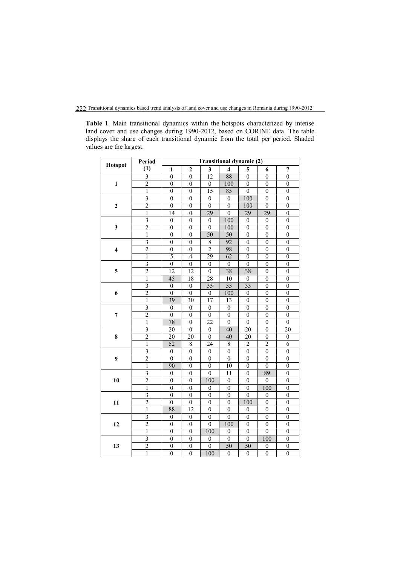**Table 1**. Main transitional dynamics within the hotspots characterized by intense land cover and use changes during 1990-2012, based on CORINE data. The table displays the share of each transitional dynamic from the total per period. Shaded values are the largest.

| <b>Hotspot</b>          | Period                  | <b>Transitional dynamic (2)</b> |                  |                  |                     |                  |                  |                  |
|-------------------------|-------------------------|---------------------------------|------------------|------------------|---------------------|------------------|------------------|------------------|
|                         | (1)                     | $\mathbf{1}$                    | $\overline{c}$   | 3                | $\overline{\bf{4}}$ | 5                | 6                | $\overline{7}$   |
| $\mathbf{1}$            | $\overline{3}$          | $\overline{0}$                  | $\overline{0}$   | $\overline{12}$  | 88                  | $\overline{0}$   | $\theta$         | $\overline{0}$   |
|                         | $\overline{2}$          | $\overline{0}$                  | $\boldsymbol{0}$ | $\overline{0}$   | 100                 | $\boldsymbol{0}$ | $\boldsymbol{0}$ | $\overline{0}$   |
|                         | $\,1\,$                 | $\overline{0}$                  | $\overline{0}$   | 15               | 85                  | $\boldsymbol{0}$ | $\boldsymbol{0}$ | $\overline{0}$   |
| $\overline{\mathbf{c}}$ | 3                       | $\mathbf{0}$                    | $\mathbf{0}$     | $\boldsymbol{0}$ | $\boldsymbol{0}$    | 100              | $\mathbf{0}$     | $\mathbf{0}$     |
|                         | $\overline{2}$          | $\mathbf{0}$                    | $\mathbf{0}$     | $\mathbf{0}$     | $\boldsymbol{0}$    | 100              | $\overline{0}$   | $\boldsymbol{0}$ |
|                         | $\overline{1}$          | 14                              | $\overline{0}$   | 29               | $\overline{0}$      | 29               | 29               | $\overline{0}$   |
| $\mathbf{3}$            | $\overline{\mathbf{3}}$ | $\boldsymbol{0}$                | $\boldsymbol{0}$ | $\mathbf{0}$     | 100                 | $\boldsymbol{0}$ | $\mathbf{0}$     | $\boldsymbol{0}$ |
|                         | $\overline{2}$          | $\boldsymbol{0}$                | $\boldsymbol{0}$ | $\boldsymbol{0}$ | 100                 | $\boldsymbol{0}$ | $\boldsymbol{0}$ | $\mathbf{0}$     |
|                         | $\mathbf{1}$            | $\boldsymbol{0}$                | $\overline{0}$   | 50               | 50                  | $\mathbf{0}$     | $\overline{0}$   | $\mathbf{0}$     |
| $\overline{\bf{4}}$     | 3                       | $\theta$                        | $\mathbf{0}$     | 8                | 92                  | 0                | $\theta$         | $\mathbf{0}$     |
|                         | $\overline{2}$          | $\boldsymbol{0}$                | $\mathbf{0}$     | $\overline{2}$   | 98                  | $\mathbf{0}$     | $\boldsymbol{0}$ | $\overline{0}$   |
|                         | $\overline{1}$          | $\overline{5}$                  | $\overline{4}$   | $\overline{29}$  | $\overline{62}$     | $\overline{0}$   | $\boldsymbol{0}$ | $\overline{0}$   |
| 5                       | $\overline{\mathbf{3}}$ | $\overline{0}$                  | $\overline{0}$   | $\boldsymbol{0}$ | $\boldsymbol{0}$    | $\overline{0}$   | $\boldsymbol{0}$ | $\overline{0}$   |
|                         | $\overline{2}$          | 12                              | $\overline{12}$  | $\boldsymbol{0}$ | 38                  | 38               | $\boldsymbol{0}$ | $\overline{0}$   |
|                         | $\,1$                   | 45                              | 18               | $2\overline{8}$  | 10                  | $\boldsymbol{0}$ | $\boldsymbol{0}$ | $\boldsymbol{0}$ |
| 6                       | $\overline{3}$          | $\theta$                        | $\overline{0}$   | $\overline{33}$  | $\overline{33}$     | $\overline{33}$  | $\theta$         | $\boldsymbol{0}$ |
|                         | $\overline{2}$          | $\theta$                        | $\overline{0}$   | $\mathbf{0}$     | 100                 | $\theta$         | $\boldsymbol{0}$ | $\overline{0}$   |
|                         | $\overline{1}$          | 39                              | 30               | 17               | $\overline{13}$     | $\overline{0}$   | $\theta$         | $\overline{0}$   |
| 7                       | $\overline{3}$          | $\boldsymbol{0}$                | $\boldsymbol{0}$ | $\boldsymbol{0}$ | $\boldsymbol{0}$    | $\boldsymbol{0}$ | $\boldsymbol{0}$ | $\boldsymbol{0}$ |
|                         | $\overline{2}$          | $\boldsymbol{0}$                | $\boldsymbol{0}$ | $\boldsymbol{0}$ | $\mathbf{0}$        | $\boldsymbol{0}$ | $\overline{0}$   | $\overline{0}$   |
|                         | 1                       | 78                              | $\mathbf{0}$     | 22               | $\boldsymbol{0}$    | $\mathbf{0}$     | 0                | $\mathbf{0}$     |
| 8                       | $\overline{\mathbf{3}}$ | 20                              | $\boldsymbol{0}$ | $\boldsymbol{0}$ | 40                  | 20               | $\boldsymbol{0}$ | 20               |
|                         | $\overline{2}$          | 20                              | 20               | $\theta$         | 40                  | 20               | $\boldsymbol{0}$ | $\boldsymbol{0}$ |
|                         | $\mathbf{1}$            | $\overline{52}$                 | $\overline{8}$   | $\overline{24}$  | $\overline{8}$      | $\overline{2}$   | $\overline{2}$   | $\overline{6}$   |
| $\boldsymbol{9}$        | $\overline{\mathbf{3}}$ | $\overline{0}$                  | $\overline{0}$   | $\overline{0}$   | $\overline{0}$      | $\overline{0}$   | $\overline{0}$   | $\overline{0}$   |
|                         | $\overline{2}$          | $\boldsymbol{0}$                | $\overline{0}$   | $\boldsymbol{0}$ | $\overline{0}$      | $\boldsymbol{0}$ | $\boldsymbol{0}$ | $\boldsymbol{0}$ |
|                         | $\mathbf{1}$            | 90                              | $\boldsymbol{0}$ | $\boldsymbol{0}$ | 10                  | $\mathbf{0}$     | $\boldsymbol{0}$ | $\overline{0}$   |
| 10                      | 3                       | $\mathbf{0}$                    | $\mathbf{0}$     | $\theta$         | 11                  | $\theta$         | 89               | $\mathbf{0}$     |
|                         | $\overline{2}$          | $\overline{0}$                  | $\overline{0}$   | 100              | $\boldsymbol{0}$    | $\theta$         | $\theta$         | $\overline{0}$   |
|                         | $\overline{1}$          | $\boldsymbol{0}$                | $\boldsymbol{0}$ | $\mathbf{0}$     | $\boldsymbol{0}$    | $\boldsymbol{0}$ | 100              | $\boldsymbol{0}$ |
| 11                      | $\overline{\mathbf{3}}$ | $\boldsymbol{0}$                | $\boldsymbol{0}$ | $\boldsymbol{0}$ | $\mathbf{0}$        | $\boldsymbol{0}$ | $\mathbf{0}$     | $\mathbf{0}$     |
|                         | $\overline{c}$          | $\boldsymbol{0}$                | $\boldsymbol{0}$ | $\boldsymbol{0}$ | $\boldsymbol{0}$    | 100              | $\boldsymbol{0}$ | $\boldsymbol{0}$ |
|                         | 1                       | 88                              | $\overline{12}$  | $\boldsymbol{0}$ | $\boldsymbol{0}$    | $\boldsymbol{0}$ | $\boldsymbol{0}$ | $\boldsymbol{0}$ |
| 12                      | $\overline{3}$          | $\boldsymbol{0}$                | $\boldsymbol{0}$ | $\overline{0}$   | $\overline{0}$      | $\overline{0}$   | $\overline{0}$   | $\overline{0}$   |
|                         | $\overline{2}$          | $\boldsymbol{0}$                | $\boldsymbol{0}$ | $\theta$         | 100                 | $\mathbf{0}$     | $\theta$         | $\boldsymbol{0}$ |
|                         | $\overline{1}$          | $\overline{0}$                  | $\overline{0}$   | 100              | $\boldsymbol{0}$    | $\overline{0}$   | $\overline{0}$   | $\overline{0}$   |
| 13                      | $\overline{\mathbf{3}}$ | $\overline{0}$                  | $\overline{0}$   | $\mathbf{0}$     | $\overline{0}$      | $\mathbf{0}$     | 100              | $\boldsymbol{0}$ |
|                         | $\overline{2}$          | $\boldsymbol{0}$                | $\boldsymbol{0}$ | $\boldsymbol{0}$ | 50                  | 50               | $\boldsymbol{0}$ | $\boldsymbol{0}$ |
|                         | $\mathbf{1}$            | $\overline{0}$                  | $\overline{0}$   | 100              | $\overline{0}$      | $\boldsymbol{0}$ | $\overline{0}$   | $\overline{0}$   |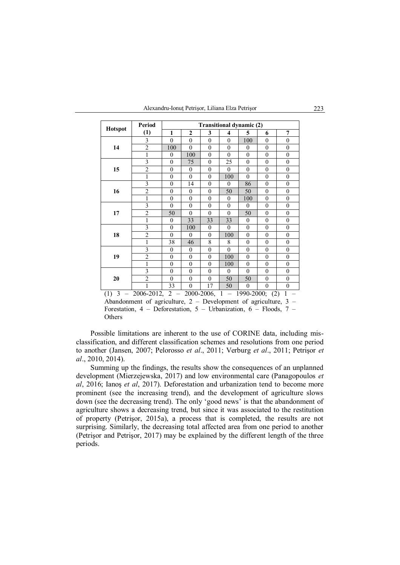|                                                                                             | <b>Period</b>  | <b>Transitional dynamic (2)</b> |                |              |                |                |              |                  |  |  |
|---------------------------------------------------------------------------------------------|----------------|---------------------------------|----------------|--------------|----------------|----------------|--------------|------------------|--|--|
| <b>Hotspot</b>                                                                              | (1)            | 1                               | $\mathbf{2}$   | 3            | 4              | 5              | 6            | 7                |  |  |
| 14                                                                                          | 3              | $\theta$                        | $\theta$       | $\theta$     | $\theta$       | 100            | $\theta$     | $\overline{0}$   |  |  |
|                                                                                             | $\overline{2}$ | 100                             | $\overline{0}$ | $\mathbf{0}$ | $\mathbf{0}$   | $\overline{0}$ | $\mathbf{0}$ | $\overline{0}$   |  |  |
|                                                                                             | $\mathbf{1}$   | $\mathbf{0}$                    | 100            | $\mathbf{0}$ | $\theta$       | $\mathbf{0}$   | $\mathbf{0}$ | $\overline{0}$   |  |  |
| 15                                                                                          | 3              | $\theta$                        | 75             | $\theta$     | 25             | $\theta$       | $\mathbf{0}$ | $\boldsymbol{0}$ |  |  |
|                                                                                             | $\overline{2}$ | $\theta$                        | $\overline{0}$ | $\theta$     | $\theta$       | $\theta$       | $\mathbf{0}$ | $\boldsymbol{0}$ |  |  |
|                                                                                             | 1              | $\theta$                        | $\theta$       | $\theta$     | 100            | $\theta$       | $\mathbf{0}$ | $\overline{0}$   |  |  |
| 16                                                                                          | 3              | $\theta$                        | 14             | $\theta$     | $\theta$       | 86             | $\mathbf{0}$ | $\boldsymbol{0}$ |  |  |
|                                                                                             | $\overline{c}$ | $\mathbf{0}$                    | $\overline{0}$ | $\mathbf{0}$ | 50             | 50             | $\mathbf{0}$ | $\overline{0}$   |  |  |
|                                                                                             | 1              | $\overline{0}$                  | $\overline{0}$ | $\mathbf{0}$ | $\mathbf{0}$   | 100            | $\theta$     | $\boldsymbol{0}$ |  |  |
| 17                                                                                          | 3              | $\theta$                        | $\overline{0}$ | $\theta$     | $\mathbf{0}$   | $\theta$       | $\mathbf{0}$ | $\overline{0}$   |  |  |
|                                                                                             | $\overline{c}$ | 50                              | $\overline{0}$ | $\mathbf{0}$ | $\mathbf{0}$   | 50             | $\mathbf{0}$ | $\mathbf{0}$     |  |  |
|                                                                                             | $\mathbf{1}$   | $\overline{0}$                  | 33             | 33           | 33             | $\mathbf{0}$   | $\mathbf{0}$ | $\mathbf{0}$     |  |  |
| 18                                                                                          | $\overline{3}$ | $\overline{0}$                  | 100            | $\mathbf{0}$ | $\overline{0}$ | $\overline{0}$ | $\mathbf{0}$ | $\mathbf{0}$     |  |  |
|                                                                                             | $\overline{2}$ | $\theta$                        | $\overline{0}$ | $\theta$     | 100            | $\overline{0}$ | $\mathbf{0}$ | $\mathbf{0}$     |  |  |
|                                                                                             | 1              | 38                              | 46             | 8            | 8              | $\overline{0}$ | $\mathbf{0}$ | $\mathbf{0}$     |  |  |
| 19                                                                                          | 3              | $\theta$                        | $\overline{0}$ | $\theta$     | $\theta$       | $\theta$       | $\theta$     | $\overline{0}$   |  |  |
|                                                                                             | $\overline{2}$ | $\theta$                        | $\overline{0}$ | $\theta$     | 100            | $\theta$       | $\mathbf{0}$ | $\overline{0}$   |  |  |
|                                                                                             | $\mathbf{1}$   | $\mathbf{0}$                    | $\overline{0}$ | $\mathbf{0}$ | 100            | $\overline{0}$ | $\mathbf{0}$ | $\overline{0}$   |  |  |
| 20                                                                                          | 3              | $\overline{0}$                  | $\overline{0}$ | $\theta$     | $\theta$       | $\theta$       | $\mathbf{0}$ | $\overline{0}$   |  |  |
|                                                                                             | $\overline{2}$ | $\theta$                        | $\overline{0}$ | $\theta$     | 50             | 50             | $\mathbf{0}$ | $\boldsymbol{0}$ |  |  |
|                                                                                             | 1              | 33                              | $\overline{0}$ | 17           | 50             | $\overline{0}$ | $\mathbf{0}$ | $\overline{0}$   |  |  |
| 3<br>$\mathbf{1}$<br>2006-2012,<br>$\overline{c}$<br>2000-2006,<br>1990-2000;<br>(2)<br>(1) |                |                                 |                |              |                |                |              |                  |  |  |

Abandonment of agriculture, 2 – Development of agriculture, 3 – Forestation, 4 – Deforestation, 5 – Urbanization, 6 – Floods, 7 – **Others** 

Possible limitations are inherent to the use of CORINE data, including misclassification, and different classification schemes and resolutions from one period to another (Jansen, 2007; Pelorosso *et al*., 2011; Verburg *et al*., 2011; Petrişor *et al*., 2010, 2014).

Summing up the findings, the results show the consequences of an unplanned development (Mierzejewska, 2017) and low environmental care (Panagopoulos *et al*, 2016; Ianoş *et al*, 2017). Deforestation and urbanization tend to become more prominent (see the increasing trend), and the development of agriculture slows down (see the decreasing trend). The only 'good news' is that the abandonment of agriculture shows a decreasing trend, but since it was associated to the restitution of property (Petrişor, 2015a), a process that is completed, the results are not surprising. Similarly, the decreasing total affected area from one period to another (Petrişor and Petrişor, 2017) may be explained by the different length of the three periods.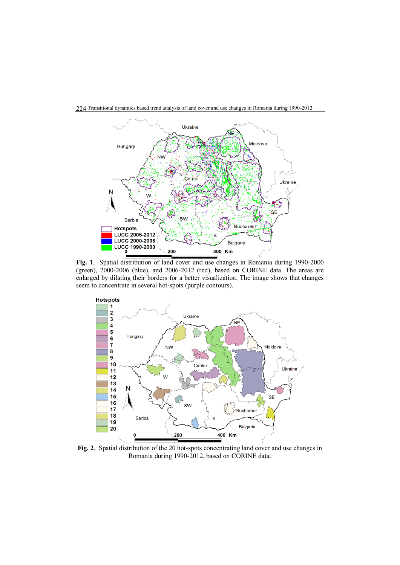

224 Transitional dynamics based trend analysis of land cover and use changes in Romania during 1990-2012

**Fig. 1**. Spatial distribution of land cover and use changes in Romania during 1990-2000 (green), 2000-2006 (blue), and 2006-2012 (red), based on CORINE data. The areas are enlarged by dilating their borders for a better visualization. The image shows that changes seem to concentrate in several hot-spots (purple contours).



**Fig. 2**. Spatial distribution of the 20 hot-spots concentrating land cover and use changes in Romania during 1990-2012, based on CORINE data.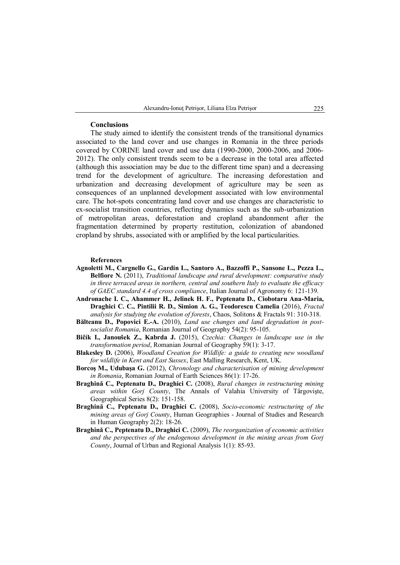#### **Conclusions**

The study aimed to identify the consistent trends of the transitional dynamics associated to the land cover and use changes in Romania in the three periods covered by CORINE land cover and use data (1990-2000, 2000-2006, and 2006- 2012). The only consistent trends seem to be a decrease in the total area affected (although this association may be due to the different time span) and a decreasing trend for the development of agriculture. The increasing deforestation and urbanization and decreasing development of agriculture may be seen as consequences of an unplanned development associated with low environmental care. The hot-spots concentrating land cover and use changes are characteristic to ex-socialist transition countries, reflecting dynamics such as the sub-urbanization of metropolitan areas, deforestation and cropland abandonment after the fragmentation determined by property restitution, colonization of abandoned cropland by shrubs, associated with or amplified by the local particularities.

## **References**

- **Agnoletti M., Cargnello G., Gardin L., Santoro A., Bazzoffi P., Sansone L., Pezza L., Belfiore N.** (2011), *Traditional landscape and rural development: comparative study in three terraced areas in northern, central and southern Italy to evaluate the efficacy of GAEC standard 4.4 of cross compliance*, Italian Journal of Agronomy 6: 121-139.
- **Andronache I. C., Ahammer H., Jelinek H. F., Peptenatu D., Ciobotaru Ana-Maria, Draghici C. C., Pintilii R. D., Simion A. G., Teodorescu Camelia** (2016), *Fractal analysis for studying the evolution of forests*, Chaos, Solitons & Fractals 91: 310-318.
- **Bălteanu D., Popovici E.-A.** (2010), *Land use changes and land degradation in postsocialist Romania*, Romanian Journal of Geography 54(2): 95-105.
- **Bičík I., Janoušek Z., Kabrda J.** (2015), *Czechia: Changes in landscape use in the transformation period*, Romanian Journal of Geography 59(1): 3-17.
- **Blakesley D.** (2006), *Woodland Creation for Wildlife: a guide to creating new woodland for wildlife in Kent and East Sussex*, East Malling Research, Kent, UK.
- **Borcoş M., Udubaşa G.** (2012), *Chronology and characterisation of mining development in Romania*, Romanian Journal of Earth Sciences 86(1): 17-26.
- **Braghină C., Peptenatu D., Draghici C.** (2008), *Rural changes in restructuring mining areas within Gorj County*, The Annals of Valahia University of Târgovişte, Geographical Series 8(2): 151-158.
- **Braghină C., Peptenatu D., Draghici C.** (2008), *Socio-economic restructuring of the mining areas of Gorj County*, Human Geographies - Journal of Studies and Research in Human Geography 2(2): 18-26.
- **Braghină C., Peptenatu D., Draghici C.** (2009), *The reorganization of economic activities and the perspectives of the endogenous development in the mining areas from Gorj County*, Journal of Urban and Regional Analysis 1(1): 85-93.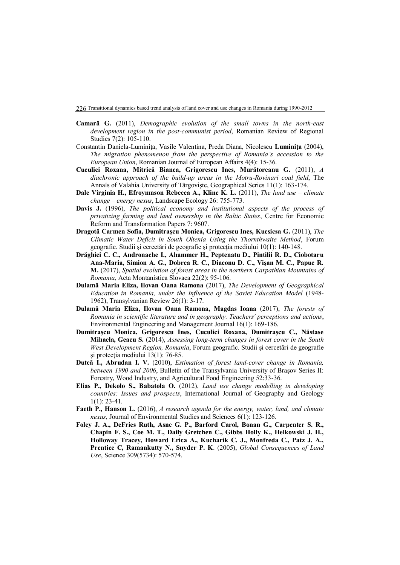- **Camară G.** (2011), *Demographic evolution of the small towns in the north-east development region in the post-communist period*, Romanian Review of Regional Studies 7(2): 105-110.
- Constantin Daniela-Luminiţa, Vasile Valentina, Preda Diana, Nicolescu **Luminiţa** (2004), *The migration phenomenon from the perspective of Romania's accession to the European Union*, Romanian Journal of European Affairs 4(4): 15-36.
- **Cuculici Roxana, Mitrică Bianca, Grigorescu Ines, Murătoreanu G.** (2011), *A diachronic approach of the build-up areas in the Motru-Rovinari coal field*, The Annals of Valahia University of Târgovişte, Geographical Series 11(1): 163-174.
- **Dale Virginia H., Efroymnson Rebecca A., Kline K. L.** (2011), *The land use – climate change – energy nexus*, Landscape Ecology 26: 755-773.
- **Davis J.** (1996), *The political economy and institutional aspects of the process of privatizing farming and land ownership in the Baltic States*, Centre for Economic Reform and Transformation Papers 7: 9607.
- **Dragotă Carmen Sofia, Dumitraşcu Monica, Grigorescu Ines, Kucsicsa G.** (2011), *The Climatic Water Deficit in South Oltenia Using the Thornthwaite Method*, Forum geografic. Studii şi cercetări de geografie şi protecţia mediului 10(1): 140-148.
- **Drăghici C. C., Andronache I., Ahammer H., Peptenatu D., Pintilii R. D., Ciobotaru Ana-Maria, Simion A. G., Dobrea R. C., Diaconu D. C., Vișan M. C., Papuc R. M.** (2017), *Spatial evolution of forest areas in the northern Carpathian Mountains of Romania*, Acta Montanistica Slovaca 22(2): 95-106.
- **Dulamă Maria Eliza, Ilovan Oana Ramona** (2017), *The Development of Geographical Education in Romania, under the Influence of the Soviet Education Model* (1948- 1962), Transylvanian Review 26(1): 3-17.
- **Dulamă Maria Eliza, Ilovan Oana Ramona, Magdas Ioana** (2017), *The forests of Romania in scientific literature and in geography. Teachers' perceptions and actions*, Environmental Engineering and Management Journal 16(1): 169-186.
- **Dumitraşcu Monica, Grigorescu Ines, Cuculici Roxana, Dumitraşcu C., Năstase Mihaela, Geacu S.** (2014), *Assessing long-term changes in forest cover in the South West Development Region, Romania*, Forum geografic. Studii şi cercetări de geografie şi protecţia mediului 13(1): 76-85.
- **Dutcă I., Abrudan I. V.** (2010), *Estimation of forest land-cover change in Romania, between 1990 and 2006*, Bulletin of the Transylvania University of Braşov Series II: Forestry, Wood Industry, and Agricultural Food Engineering 52:33-36.
- **Elias P., Dekolo S., Babatola O.** (2012), *Land use change modelling in developing countries: Issues and prospects*, International Journal of Geography and Geology 1(1): 23-41.
- **Faeth P., Hanson L.** (2016), *A research agenda for the energy, water, land, and climate nexus*, Journal of Environmental Studies and Sciences 6(1): 123-126.
- **Foley J. A., DeFries Ruth, Asne G. P., Barford Carol, Bonan G., Carpenter S. R., Chapin F. S., Coe M. T., Daily Gretchen C., Gibbs Holly K., Helkowski J. H., Holloway Tracey, Howard Erica A., Kucharik C. J., Monfreda C., Patz J. A., Prentice C, Ramankutty N., Snyder P. K**. (2005), *Global Consequences of Land Use*, Science 309(5734): 570-574.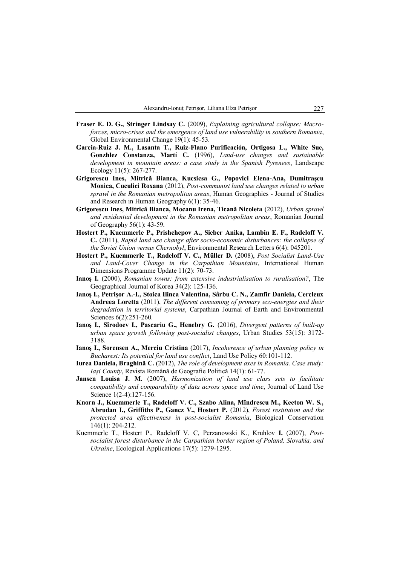- **Fraser E. D. G., Stringer Lindsay C.** (2009), *Explaining agricultural collapse: Macroforces, micro-crises and the emergence of land use vulnerability in southern Romania*, Global Environmental Change 19(1): 45-53.
- **Garcia-Ruiz J. M., Lasanta T., Ruiz-Flano Purificación, Ortigosa L., White Sue, Gonzhlez Constanza, Martí C.** (1996), *Land-use changes and sustainable development in mountain areas: a case study in the Spanish Pyrenees*, Landscape Ecology 11(5): 267-277.
- **Grigorescu Ines, Mitrică Bianca, Kucsicsa G., Popovici Elena-Ana, Dumitraşcu Monica, Cuculici Roxana** (2012), *Post-communist land use changes related to urban sprawl in the Romanian metropolitan areas*, Human Geographies - Journal of Studies and Research in Human Geography 6(1): 35-46.
- **Grigorescu Ines, Mitrică Bianca, Mocanu Irena, Ticană Nicoleta** (2012), *Urban sprawl and residential development in the Romanian metropolitan areas*, Romanian Journal of Geography 56(1): 43-59.
- **Hostert P., Kuemmerle P., Prishchepov A., Sieber Anika, Lambin E. F., Radeloff V. C.** (2011), *Rapid land use change after socio-economic disturbances: the collapse of the Soviet Union versus Chernobyl*, Environmental Research Letters 6(4): 045201.
- **Hostert P., Kuemmerle T., Radeloff V. C., Müller D.** (2008), *Post Socialist Land-Use and Land-Cover Change in the Carpathian Mountains*, International Human Dimensions Programme Update 11(2): 70-73.
- **Ianoş I.** (2000), *Romanian towns: from extensive industrialisation to ruralisation?*, The Geographical Journal of Korea 34(2): 125-136.
- **Ianoş I., Petrişor A.-I., Stoica Ilinca Valentina, Sârbu C. N., Zamfir Daniela, Cercleux Andreea Loretta** (2011), *The different consuming of primary eco-energies and their degradation in territorial systems*, Carpathian Journal of Earth and Environmental Sciences 6(2):251-260.
- **Ianoş I., Sîrodoev I., Pascariu G., Henebry G.** (2016), *Divergent patterns of built-up urban space growth following post-socialist changes*, Urban Studies 53(15): 3172- 3188.
- **Ianoş I., Sorensen A., Merciu Cristina** (2017), *Incoherence of urban planning policy in Bucharest: Its potential for land use conflict*, Land Use Policy 60:101-112.
- **Iurea Daniela, Braghină C.** (2012), *The role of development axes in Romania. Case study: Iaşi County*, Revista Română de Geografie Politică 14(1): 61-77.
- **Jansen Louisa J. M.** (2007), *Harmonization of land use class sets to facilitate compatibility and comparability of data across space and time*, Journal of Land Use Science 1(2-4):127-156.
- **Knorn J., Kuemmerle T., Radeloff V. C., Szabo Alina, Mîndrescu M., Keeton W. S., Abrudan I., Griffiths P., Gancz V., Hostert P.** (2012), *Forest restitution and the protected area effectiveness in post-socialist Romania*, Biological Conservation 146(1): 204-212.
- Kuemmerle T., Hostert P., Radeloff V. C, Perzanowski K., Kruhlov **I.** (2007), *Postsocialist forest disturbance in the Carpathian border region of Poland, Slovakia, and Ukraine*, Ecological Applications 17(5): 1279-1295.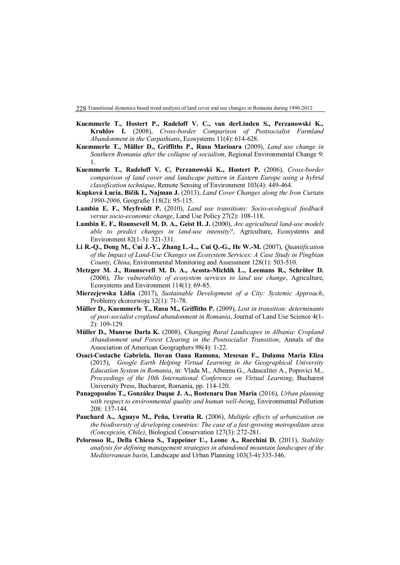- **Kuemmerle T., Hostert P., Radeloff V. C., van derLinden S., Perzanowski K., Kruhlov I.** (2008), *Cross-border Comparison of Postsocialist Farmland Abandonment in the Carpathians*, Ecosystems 11(4): 614-628.
- **Kuemmerle T., Müller D., Griffiths P., Rusu Marioara** (2009), *Land use change in Southern Romania after the collapse of socialism*, Regional Environmental Change 9: 1.
- **Kuemmerle T., Radeloff V. C, Perzanowski K., Hostert P.** (2006), *Cross-border comparison of land cover and landscape pattern in Eastern Europe using a hybrid classification technique*, Remote Sensing of Environment 103(4): 449-464.
- **Kupková Lucia, Bičík I., Najman J.** (2013), *Land Cover Changes along the Iron Curtain 1990-2006*, Geografie 118(2): 95-115.
- **Lambin E. F., Meyfroidt P.** (2010), *Land use transitions: Socio-ecological feedback versus socio-economic change*, Land Use Policy 27(2): 108-118.
- **Lambin E. F., Rounsevell M. D. A., Geist H. J.** (2000), *Are agricultural land-use models able to predict changes in land-use intensity?*, Agriculture, Ecosystems and Environment 82(1-3): 321-331.
- **Li R.-Q., Dong M., Cui J.-Y., Zhang L.-L., Cui Q.-G., He W.-M.** (2007), *Quantification of the Impact of Land-Use Changes on Ecosystem Services: A Case Study in Pingbian County, China*, Environmental Monitoring and Assessment 128(1): 503-510.
- **Metzger M. J., Rounsevell M. D. A., Acosta-Michlik L., Leemans R., Schröter D.** (2006), *The vulnerability of ecosystem services to land use change*, Agriculture, Ecosystems and Environment 114(1): 69-85.
- **Mierzejewska Lidia** (2017), *Sustainable Development of a City: Systemic Approach*, Problemy ekorozwoju 12(1): 71-78.
- **Müller D., Kuemmerle T., Rusu M., Griffiths P.** (2009), *Lost in transition: determinants of post-socialist cropland abandonment in Romania*, Journal of Land Use Science 4(1- 2): 109-129.
- **Müller D., Munroe Darla K.** (2008), *Changing Rural Landscapes in Albania: Cropland Abandonment and Forest Clearing in the Postsocialist Transition*, Annals of the Association of American Geographers 98(4): 1-22.
- **Osaci-Costache Gabriela, Ilovan Oana Ramona, Mesesan F., Dulama Maria Eliza** (2015), *Google Earth Helping Virtual Learning in the Geographical University Education System in Romania*, in: Vlada M., Albeanu G., Adascalitei A., Popovici M., *Proceedings of the 10th International Conference on Virtual Learning*, Bucharest University Press, Bucharest, Romania, pp. 114-120.
- **Panagopoulos T., González Duque J. A., Bostenaru Dan Maria** (2016), *Urban planning with respect to environmental quality and human well-being*, Environmental Pollution 208: 137-144.
- **Pauchard A., Aguayo M., Peña, Urrutia R.** (2006), *Multiple effects of urbanization on the biodiversity of developing countries: The case of a fast-growing metropolitan area (Concepción, Chile)*, Biological Conservation 127(3): 272-281.
- **Pelorosso R., Della Chiesa S., Tappeiner U., Leone A., Rocchini D.** (2011), *Stability analysis for defining management strategies in abandoned mountain landscapes of the Mediterranean basin*, Landscape and Urban Planning 103(3-4):335-346.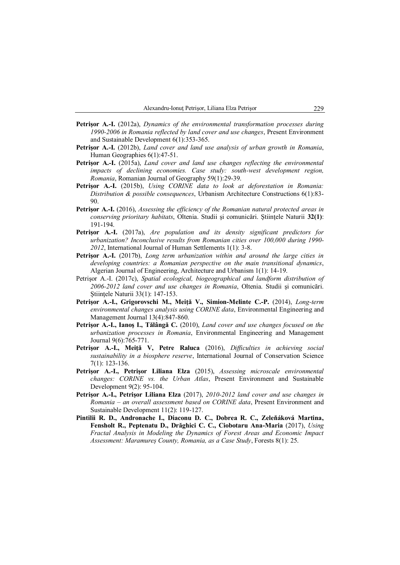- **Petrişor A.-I.** (2012a), *Dynamics of the environmental transformation processes during 1990-2006 in Romania reflected by land cover and use changes*, Present Environment and Sustainable Development 6(1):353-365.
- **Petrişor A.-I.** (2012b), *Land cover and land use analysis of urban growth in Romania*, Human Geographies 6(1):47-51.
- **Petrişor A.-I.** (2015a), *Land cover and land use changes reflecting the environmental impacts of declining economies. Case study: south-west development region, Romania*, Romanian Journal of Geography 59(1):29-39.
- **Petrişor A.-I.** (2015b), *Using CORINE data to look at deforestation in Romania: Distribution & possible consequences*, Urbanism Architecture Constructions 6(1):83- 90.
- **Petrişor A.-I.** (2016), *Assessing the efficiency of the Romanian natural protected areas in conserving prioritary habitats*, Oltenia. Studii şi comunicări. Ştiinţele Naturii **32(1)**: 191-194.
- **Petrişor A.-I.** (2017a), *Are population and its density significant predictors for urbanization? Inconclusive results from Romanian cities over 100,000 during 1990- 2012*, International Journal of Human Settlements 1(1): 3-8.
- **Petrişor A.-I.** (2017b), *Long term urbanization within and around the large cities in developing countries: a Romanian perspective on the main transitional dynamics*, Algerian Journal of Engineering, Architecture and Urbanism 1(1): 14-19.
- Petrişor A.-I. (2017c), *Spatial ecological, biogeographical and landform distribution of 2006-2012 land cover and use changes in Romania*, Oltenia. Studii şi comunicări. Stiintele Naturii 33(1): 147-153.
- **Petrişor A.-I., Grigorovschi M., Meiţă V., Simion-Melinte C.-P.** (2014), *Long-term environmental changes analysis using CORINE data*, Environmental Engineering and Management Journal 13(4):847-860.
- **Petrişor A.-I., Ianoş I., Tălângă C.** (2010), *Land cover and use changes focused on the urbanization processes in Romania*, Environmental Engineering and Management Journal 9(6):765-771.
- **Petrişor A.-I., Meiţă V, Petre Raluca** (2016), *Difficulties in achieving social sustainability in a biosphere reserve*, International Journal of Conservation Science 7(1): 123-136.
- **Petrişor A.-I., Petrişor Liliana Elza** (2015), *Assessing microscale environmental changes: CORINE vs. the Urban Atlas*, Present Environment and Sustainable Development 9(2): 95-104.
- **Petrişor A.-I., Petrişor Liliana Elza** (2017), *2010-2012 land cover and use changes in Romania – an overall assessment based on CORINE data*, Present Environment and Sustainable Development 11(2): 119-127.
- **Pintilii R. D., Andronache I., Diaconu D. C., Dobrea R. C., Zeleňáková Martina, Fensholt R., Peptenatu D., Drăghici C. C., Ciobotaru Ana-Maria** (2017), *Using Fractal Analysis in Modeling the Dynamics of Forest Areas and Economic Impact Assessment: Maramureș County, Romania, as a Case Study*, Forests 8(1): 25.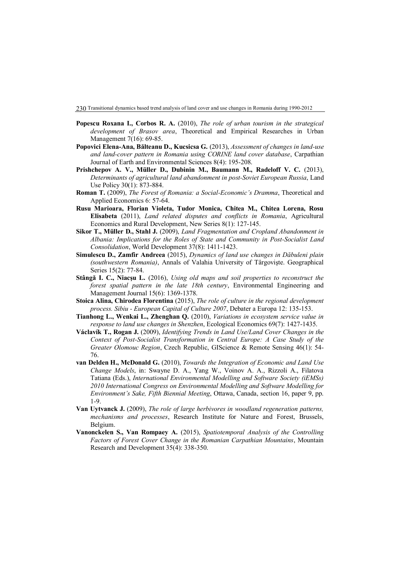- **Popescu Roxana I., Corbos R. A.** (2010), *The role of urban tourism in the strategical development of Brasov area*, Theoretical and Empirical Researches in Urban Management 7(16): 69-85.
- **Popovici Elena-Ana, Bălteanu D., Kucsicsa G.** (2013), *Assessment of changes in land-use and land-cover pattern in Romania using CORINE land cover database*, Carpathian Journal of Earth and Environmental Sciences 8(4): 195-208.
- **Prishchepov A. V., Müller D., Dubinin M., Baumann M., Radeloff V. C.** (2013), *Determinants of agricultural land abandonment in post-Soviet European Russia*, Land Use Policy 30(1): 873-884.
- **Roman T.** (2009), *The Forest of Romania: a Social-Economic's Dramma*, Theoretical and Applied Economics 6: 57-64.
- **Rusu Marioara, Florian Violeta, Tudor Monica, Chitea M., Chitea Lorena, Rosu Elisabeta** (2011), *Land related disputes and conflicts in Romania*, Agricultural Economics and Rural Development, New Series 8(1): 127-145.
- **Sikor T., Müller D., Stahl J.** (2009), *Land Fragmentation and Cropland Abandonment in Albania: Implications for the Roles of State and Community in Post-Socialist Land Consolidation*, World Development 37(8): 1411-1423.
- **Simulescu D., Zamfir Andreea** (2015), *Dynamics of land use changes in Dăbuleni plain (southwestern Romania)*, Annals of Valahia University of Târgovişte. Geographical Series 15(2): 77-84.
- **Stângă I. C., Niacşu L.** (2016), *Using old maps and soil properties to reconstruct the forest spatial pattern in the late 18th century*, Environmental Engineering and Management Journal 15(6): 1369-1378.
- **Stoica Alina, Chirodea Florentina** (2015), *The role of culture in the regional development process. Sibiu - European Capital of Culture 2007*, Debater a Europa 12: 135-153.
- **Tianhong L., Wenkai L., Zhenghan Q.** (2010), *Variations in ecosystem service value in response to land use changes in Shenzhen*, Ecological Economics 69(7): 1427-1435.
- **Václavík T., Rogan J.** (2009), *Identifying Trends in Land Use/Land Cover Changes in the Context of Post-Socialist Transformation in Central Europe: A Case Study of the Greater Olomouc Region*, Czech Republic, GIScience & Remote Sensing 46(1): 54- 76.
- **van Delden H., McDonald G.** (2010), *Towards the Integration of Economic and Land Use Change Models*, in: Swayne D. A., Yang W., Voinov A. A., Rizzoli A., Filatova Tatiana (Eds.), *International Environmental Modelling and Software Society (iEMSs) 2010 International Congress on Environmental Modelling and Software Modelling for Environment's Sake, Fifth Biennial Meeting*, Ottawa, Canada, section 16, paper 9, pp. 1-9.
- **Van Uytvanck J.** (2009), *The role of large herbivores in woodland regeneration patterns, mechanisms and processes*, Research Institute for Nature and Forest, Brussels, Belgium.
- **Vanonckelen S., Van Rompaey A.** (2015), *Spatiotemporal Analysis of the Controlling Factors of Forest Cover Change in the Romanian Carpathian Mountains*, Mountain Research and Development 35(4): 338-350.